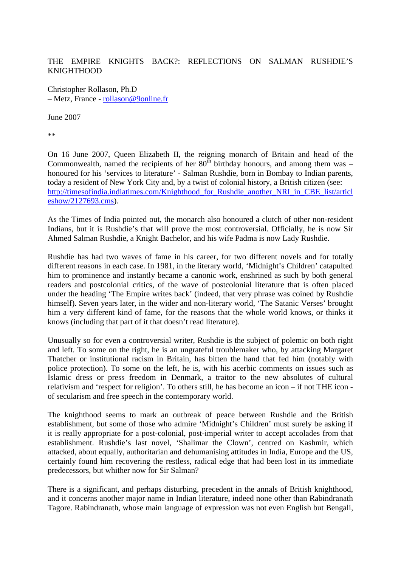THE EMPIRE KNIGHTS BACK?: REFLECTIONS ON SALMAN RUSHDIE'S KNIGHTHOOD

Christopher Rollason, Ph.D – Metz, France - rollason@9online.fr

June 2007

\*\*

On 16 June 2007, Queen Elizabeth II, the reigning monarch of Britain and head of the Commonwealth, named the recipients of her  $80^{\text{th}}$  birthday honours, and among them was – honoured for his 'services to literature' - Salman Rushdie, born in Bombay to Indian parents, today a resident of New York City and, by a twist of colonial history, a British citizen (see: http://timesofindia.indiatimes.com/Knighthood\_for\_Rushdie\_another\_NRI\_in\_CBE\_list/articl eshow/2127693.cms).

As the Times of India pointed out, the monarch also honoured a clutch of other non-resident Indians, but it is Rushdie's that will prove the most controversial. Officially, he is now Sir Ahmed Salman Rushdie, a Knight Bachelor, and his wife Padma is now Lady Rushdie.

Rushdie has had two waves of fame in his career, for two different novels and for totally different reasons in each case. In 1981, in the literary world, 'Midnight's Children' catapulted him to prominence and instantly became a canonic work, enshrined as such by both general readers and postcolonial critics, of the wave of postcolonial literature that is often placed under the heading 'The Empire writes back' (indeed, that very phrase was coined by Rushdie himself). Seven years later, in the wider and non-literary world, 'The Satanic Verses' brought him a very different kind of fame, for the reasons that the whole world knows, or thinks it knows (including that part of it that doesn't read literature).

Unusually so for even a controversial writer, Rushdie is the subject of polemic on both right and left. To some on the right, he is an ungrateful troublemaker who, by attacking Margaret Thatcher or institutional racism in Britain, has bitten the hand that fed him (notably with police protection). To some on the left, he is, with his acerbic comments on issues such as Islamic dress or press freedom in Denmark, a traitor to the new absolutes of cultural relativism and 'respect for religion'. To others still, he has become an icon – if not THE icon of secularism and free speech in the contemporary world.

The knighthood seems to mark an outbreak of peace between Rushdie and the British establishment, but some of those who admire 'Midnight's Children' must surely be asking if it is really appropriate for a post-colonial, post-imperial writer to accept accolades from that establishment. Rushdie's last novel, 'Shalimar the Clown', centred on Kashmir, which attacked, about equally, authoritarian and dehumanising attitudes in India, Europe and the US, certainly found him recovering the restless, radical edge that had been lost in its immediate predecessors, but whither now for Sir Salman?

There is a significant, and perhaps disturbing, precedent in the annals of British knighthood, and it concerns another major name in Indian literature, indeed none other than Rabindranath Tagore. Rabindranath, whose main language of expression was not even English but Bengali,